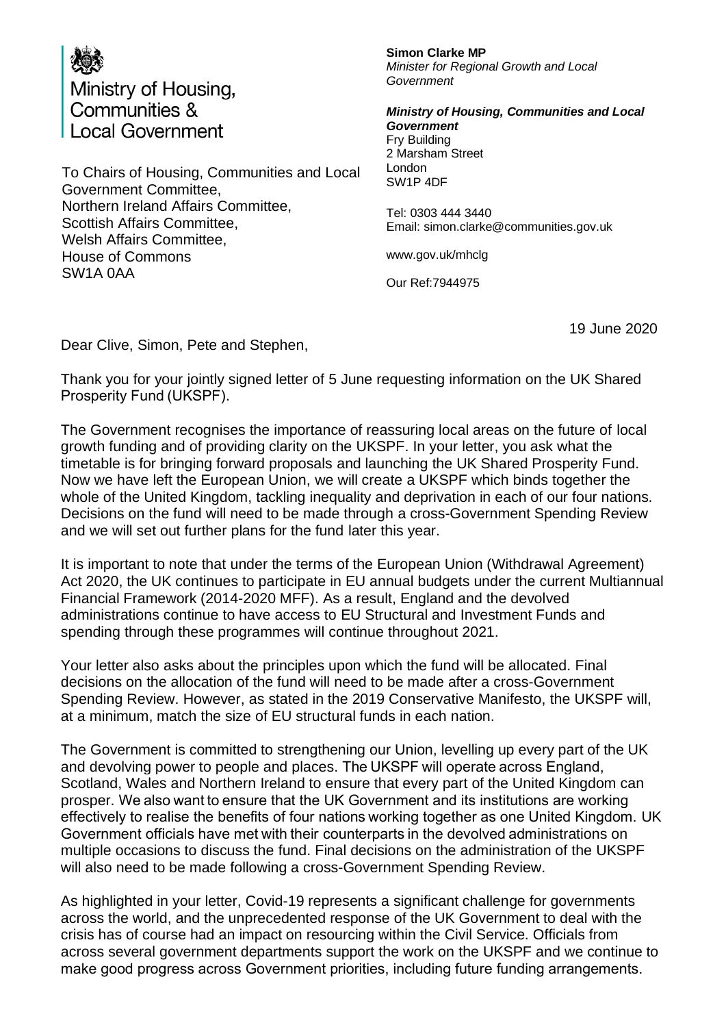

To Chairs of Housing, Communities and Local Government Committee, Northern Ireland Affairs Committee, Scottish Affairs Committee, Welsh Affairs Committee, House of Commons SW1A 0AA

## **Simon Clarke MP** *Minister for Regional Growth and Local Government*

*Ministry of Housing, Communities and Local Government* Fry Building 2 Marsham Street London SW1P 4DF

Tel: 0303 444 3440 Email: simon.clarke@communities.gov.uk

www.gov.uk/mhclg

Our Ref:7944975

19 June 2020

Dear Clive, Simon, Pete and Stephen,

Thank you for your jointly signed letter of 5 June requesting information on the UK Shared Prosperity Fund (UKSPF).

The Government recognises the importance of reassuring local areas on the future of local growth funding and of providing clarity on the UKSPF. In your letter, you ask what the timetable is for bringing forward proposals and launching the UK Shared Prosperity Fund. Now we have left the European Union, we will create a UKSPF which binds together the whole of the United Kingdom, tackling inequality and deprivation in each of our four nations. Decisions on the fund will need to be made through a cross-Government Spending Review and we will set out further plans for the fund later this year.

It is important to note that under the terms of the European Union (Withdrawal Agreement) Act 2020, the UK continues to participate in EU annual budgets under the current Multiannual Financial Framework (2014-2020 MFF). As a result, England and the devolved administrations continue to have access to EU Structural and Investment Funds and spending through these programmes will continue throughout 2021.

Your letter also asks about the principles upon which the fund will be allocated. Final decisions on the allocation of the fund will need to be made after a cross-Government Spending Review. However, as stated in the 2019 Conservative Manifesto, the UKSPF will, at a minimum, match the size of EU structural funds in each nation.

The Government is committed to strengthening our Union, levelling up every part of the UK and devolving power to people and places. The UKSPF will operate across England, Scotland, Wales and Northern Ireland to ensure that every part of the United Kingdom can prosper. We also want to ensure that the UK Government and its institutions are working effectively to realise the benefits of four nations working together as one United Kingdom. UK Government officials have met with their counterparts in the devolved administrations on multiple occasions to discuss the fund. Final decisions on the administration of the UKSPF will also need to be made following a cross-Government Spending Review.

As highlighted in your letter, Covid-19 represents a significant challenge for governments across the world, and the unprecedented response of the UK Government to deal with the crisis has of course had an impact on resourcing within the Civil Service. Officials from across several government departments support the work on the UKSPF and we continue to make good progress across Government priorities, including future funding arrangements.